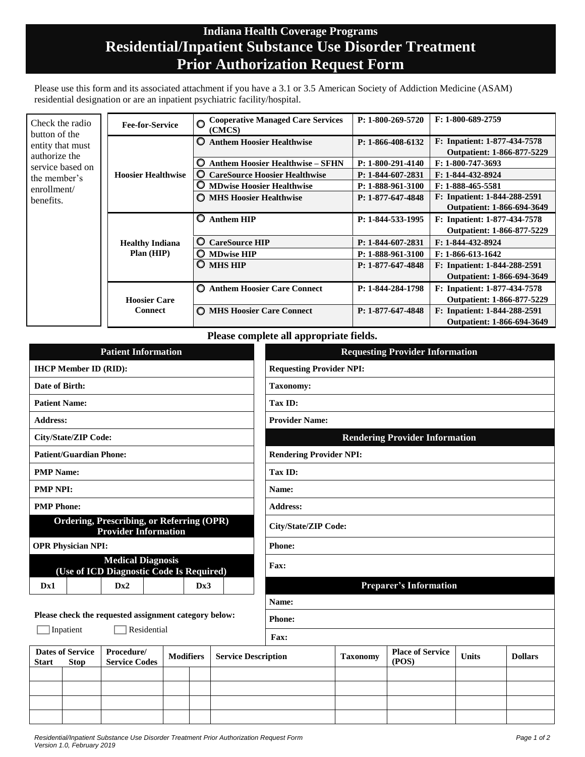## **Indiana Health Coverage Programs Residential/Inpatient Substance Use Disorder Treatment Prior Authorization Request Form**

Please use this form and its associated attachment if you have a 3.1 or 3.5 American Society of Addiction Medicine (ASAM) residential designation or are an inpatient psychiatric facility/hospital.

| Check the radio<br>button of the<br>entity that must<br>authorize the<br>service based on<br>the member's<br>enrollment/<br>benefits. | <b>Fee-for-Service</b>                | <b>Cooperative Managed Care Services</b><br>(CMCS) | P: 1-800-269-5720   | $F: 1-800-689-2759$                                               |
|---------------------------------------------------------------------------------------------------------------------------------------|---------------------------------------|----------------------------------------------------|---------------------|-------------------------------------------------------------------|
|                                                                                                                                       | <b>Hoosier Healthwise</b>             | <b>Anthem Hoosier Healthwise</b><br>О              | P: 1-866-408-6132   | F: Inpatient: 1-877-434-7578<br><b>Outpatient: 1-866-877-5229</b> |
|                                                                                                                                       |                                       | <b>Anthem Hoosier Healthwise – SFHN</b><br>O       | $P: 1-800-291-4140$ | F: 1-800-747-3693                                                 |
|                                                                                                                                       |                                       | <b>CareSource Hoosier Healthwise</b><br>O          | P: 1-844-607-2831   | F: 1-844-432-8924                                                 |
|                                                                                                                                       |                                       | <b>MDwise Hoosier Healthwise</b><br>O              | P: 1-888-961-3100   | F: 1-888-465-5581                                                 |
|                                                                                                                                       |                                       | <b>O MHS Hoosier Healthwise</b>                    | P: 1-877-647-4848   | F: Inpatient: 1-844-288-2591                                      |
|                                                                                                                                       |                                       |                                                    |                     | Outpatient: 1-866-694-3649                                        |
|                                                                                                                                       | <b>Healthy Indiana</b><br>Plan (HIP)  | Õ<br><b>Anthem HIP</b>                             | P: 1-844-533-1995   | F: Inpatient: 1-877-434-7578                                      |
|                                                                                                                                       |                                       |                                                    |                     | Outpatient: 1-866-877-5229                                        |
|                                                                                                                                       |                                       | O<br><b>CareSource HIP</b>                         | P: 1-844-607-2831   | F: 1-844-432-8924                                                 |
|                                                                                                                                       |                                       | $\bigcirc$ MDwise HIP                              | P: 1-888-961-3100   | $F: 1-866-613-1642$                                               |
|                                                                                                                                       |                                       | <b>MHS HIP</b><br>O                                | P: 1-877-647-4848   | F: Inpatient: 1-844-288-2591                                      |
|                                                                                                                                       |                                       |                                                    |                     | <b>Outpatient: 1-866-694-3649</b>                                 |
|                                                                                                                                       | <b>Hoosier Care</b><br><b>Connect</b> | <b>Anthem Hoosier Care Connect</b><br>O            | P: 1-844-284-1798   | F: Inpatient: 1-877-434-7578                                      |
|                                                                                                                                       |                                       |                                                    |                     | Outpatient: 1-866-877-5229                                        |
|                                                                                                                                       |                                       | <b>C</b> MHS Hoosier Care Connect                  | P: 1-877-647-4848   | F: Inpatient: 1-844-288-2591                                      |
|                                                                                                                                       |                                       |                                                    |                     | <b>Outpatient: 1-866-694-3649</b>                                 |

**Please complete all appropriate fields.** 

| <b>Patient Information</b>                                                                   |                                       |                            | <b>Requesting Provider Information</b> |                 |                                  |              |                |  |
|----------------------------------------------------------------------------------------------|---------------------------------------|----------------------------|----------------------------------------|-----------------|----------------------------------|--------------|----------------|--|
| <b>IHCP Member ID (RID):</b>                                                                 |                                       |                            | <b>Requesting Provider NPI:</b>        |                 |                                  |              |                |  |
| Date of Birth:                                                                               |                                       |                            | <b>Taxonomy:</b>                       |                 |                                  |              |                |  |
| <b>Patient Name:</b>                                                                         | Tax ID:                               |                            |                                        |                 |                                  |              |                |  |
| <b>Address:</b>                                                                              | <b>Provider Name:</b>                 |                            |                                        |                 |                                  |              |                |  |
| <b>City/State/ZIP Code:</b>                                                                  | <b>Rendering Provider Information</b> |                            |                                        |                 |                                  |              |                |  |
| <b>Patient/Guardian Phone:</b>                                                               |                                       |                            | <b>Rendering Provider NPI:</b>         |                 |                                  |              |                |  |
| <b>PMP</b> Name:                                                                             |                                       |                            | Tax ID:                                |                 |                                  |              |                |  |
| <b>PMP NPI:</b>                                                                              |                                       |                            | Name:                                  |                 |                                  |              |                |  |
| <b>PMP Phone:</b>                                                                            | <b>Address:</b>                       |                            |                                        |                 |                                  |              |                |  |
| <b>Ordering, Prescribing, or Referring (OPR)</b><br><b>Provider Information</b>              |                                       |                            | City/State/ZIP Code:                   |                 |                                  |              |                |  |
| <b>OPR Physician NPI:</b>                                                                    |                                       |                            | <b>Phone:</b>                          |                 |                                  |              |                |  |
| <b>Medical Diagnosis</b><br>(Use of ICD Diagnostic Code Is Required)                         |                                       |                            | Fax:                                   |                 |                                  |              |                |  |
| Dx1<br>Dx2                                                                                   | Dx3                                   |                            | <b>Preparer's Information</b>          |                 |                                  |              |                |  |
|                                                                                              |                                       |                            | Name:                                  |                 |                                  |              |                |  |
| Please check the requested assignment category below:<br>Inpatient<br>Residential            |                                       |                            | <b>Phone:</b>                          |                 |                                  |              |                |  |
|                                                                                              |                                       |                            | Fax:                                   |                 |                                  |              |                |  |
| <b>Dates of Service</b><br>Procedure/<br><b>Stop</b><br><b>Service Codes</b><br><b>Start</b> | <b>Modifiers</b>                      | <b>Service Description</b> |                                        | <b>Taxonomy</b> | <b>Place of Service</b><br>(POS) | <b>Units</b> | <b>Dollars</b> |  |
|                                                                                              |                                       |                            |                                        |                 |                                  |              |                |  |
|                                                                                              |                                       |                            |                                        |                 |                                  |              |                |  |
|                                                                                              |                                       |                            |                                        |                 |                                  |              |                |  |